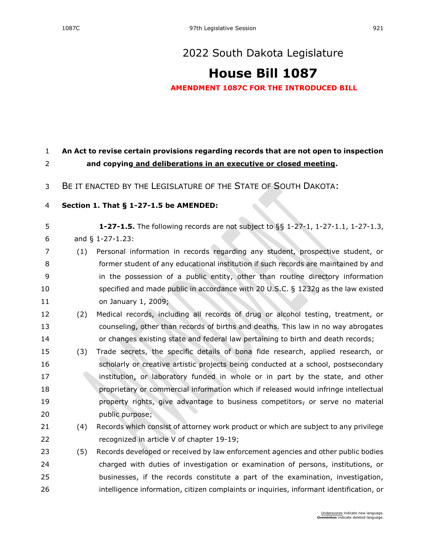## **[House Bill 1087](https://sdlegislature.gov/Session/Bill/22746)**

**AMENDMENT 1087C FOR THE INTRODUCED BILL**

## **An Act to revise certain provisions regarding records that are not open to inspection and copying and deliberations in an executive or closed meeting.**

BE IT ENACTED BY THE LEGISLATURE OF THE STATE OF SOUTH DAKOTA:

## **Section 1. [That § 1-27-1.5 be AMENDED:](https://sdlegislature.gov/Statutes?Statute=1-27-1.5)**

**[1-27-1.5.](https://sdlegislature.gov/Statutes/Codified_Laws/DisplayStatute.aspx?Type=Statute&Statute=1-27-1.5)** The following records are not subject to §§ [1-27-1,](https://sdlegislature.gov/Statutes/Codified_Laws/DisplayStatute.aspx?Type=Statute&Statute=1-27-1) [1-27-1.1,](https://sdlegislature.gov/Statutes/Codified_Laws/DisplayStatute.aspx?Type=Statute&Statute=1-27-1.1) [1-27-1.3,](https://sdlegislature.gov/Statutes/Codified_Laws/DisplayStatute.aspx?Type=Statute&Statute=1-27-1.3)

and § [1-27-1.23:](https://sdlegislature.gov/Statutes/Codified_Laws/DisplayStatute.aspx?Type=Statute&Statute=1-27-1.23)

- (1) Personal information in records regarding any student, prospective student, or former student of any educational institution if such records are maintained by and in the possession of a public entity, other than routine directory information specified and made public in accordance with 20 U.S.C. § 1232g as the law existed on January 1, 2009;
- (2) Medical records, including all records of drug or alcohol testing, treatment, or counseling, other than records of births and deaths. This law in no way abrogates or changes existing state and federal law pertaining to birth and death records;
- (3) Trade secrets, the specific details of bona fide research, applied research, or scholarly or creative artistic projects being conducted at a school, postsecondary **institution**, or laboratory funded in whole or in part by the state, and other proprietary or commercial information which if released would infringe intellectual **property rights, give advantage to business competitors**, or serve no material public purpose;
- (4) Records which consist of attorney work product or which are subject to any privilege recognized in article V of chapter [19-19;](https://sdlegislature.gov/Statutes/Codified_Laws/DisplayStatute.aspx?Type=Statute&Statute=19-19)
- (5) Records developed or received by law enforcement agencies and other public bodies charged with duties of investigation or examination of persons, institutions, or businesses, if the records constitute a part of the examination, investigation, intelligence information, citizen complaints or inquiries, informant identification, or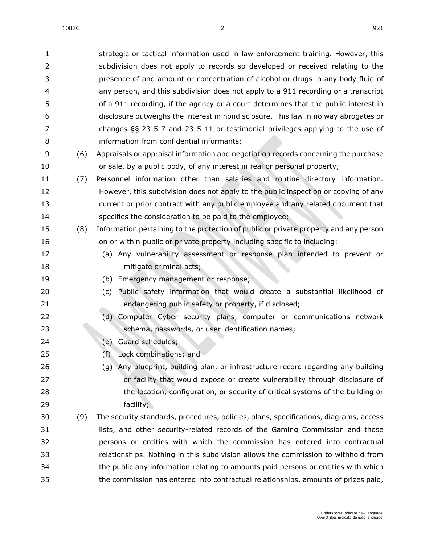| $\mathbf{1}$   |     | strategic or tactical information used in law enforcement training. However, this     |
|----------------|-----|---------------------------------------------------------------------------------------|
| $\overline{2}$ |     | subdivision does not apply to records so developed or received relating to the        |
| 3              |     | presence of and amount or concentration of alcohol or drugs in any body fluid of      |
| 4              |     | any person, and this subdivision does not apply to a 911 recording or a transcript    |
| 5              |     | of a 911 recording, if the agency or a court determines that the public interest in   |
| 6              |     | disclosure outweighs the interest in nondisclosure. This law in no way abrogates or   |
| 7              |     | changes $\S$ § 23-5-7 and 23-5-11 or testimonial privileges applying to the use of    |
| 8              |     | information from confidential informants;                                             |
| 9              | (6) | Appraisals or appraisal information and negotiation records concerning the purchase   |
| 10             |     | or sale, by a public body, of any interest in real or personal property;              |
| 11             | (7) | Personnel information other than salaries and routine directory information.          |
| 12             |     | However, this subdivision does not apply to the public inspection or copying of any   |
| 13             |     | current or prior contract with any public employee and any related document that      |
| 14             |     | specifies the consideration to be paid to the employee;                               |
| 15             | (8) | Information pertaining to the protection of public or private property and any person |
| 16             |     | on or within public or private property including specific to including:              |
| 17             |     | (a) Any vulnerability assessment or response plan intended to prevent or              |
| 18             |     | mitigate criminal acts;                                                               |
| 19             |     | (b) Emergency management or response;                                                 |
| 20             |     | Public safety information that would create a substantial likelihood of<br>(c)        |
| 21             |     | endangering public safety or property, if disclosed;                                  |
| 22             |     | (d) Computer-Cyber security plans, computer or communications network                 |
| 23             |     | schema, passwords, or user identification names;                                      |
| 24             |     | <b>Guard schedules;</b><br>(e)                                                        |
| 25             |     | Lock combinations; and<br>(f)                                                         |
| 26             |     | (g) Any blueprint, building plan, or infrastructure record regarding any building     |
| 27             |     | or facility that would expose or create vulnerability through disclosure of           |
| 28             |     | the location, configuration, or security of critical systems of the building or       |
| 29             |     | facility;                                                                             |
| 30             | (9) | The security standards, procedures, policies, plans, specifications, diagrams, access |
| 31             |     | lists, and other security-related records of the Gaming Commission and those          |
| 32             |     | persons or entities with which the commission has entered into contractual            |
| 33             |     | relationships. Nothing in this subdivision allows the commission to withhold from     |
| 34             |     | the public any information relating to amounts paid persons or entities with which    |
| 35             |     | the commission has entered into contractual relationships, amounts of prizes paid,    |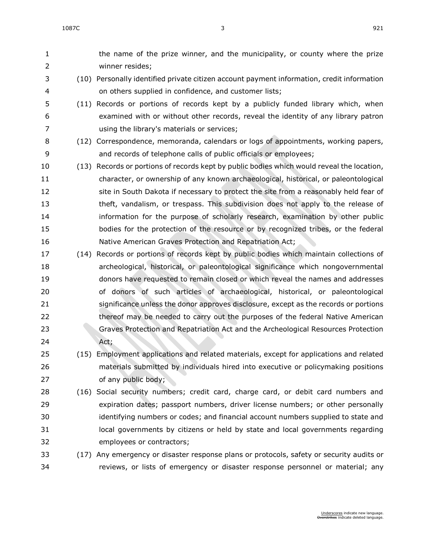the name of the prize winner, and the municipality, or county where the prize winner resides; (10) Personally identified private citizen account payment information, credit information on others supplied in confidence, and customer lists; (11) Records or portions of records kept by a publicly funded library which, when examined with or without other records, reveal the identity of any library patron using the library's materials or services; (12) Correspondence, memoranda, calendars or logs of appointments, working papers, and records of telephone calls of public officials or employees; (13) Records or portions of records kept by public bodies which would reveal the location, character, or ownership of any known archaeological, historical, or paleontological site in South Dakota if necessary to protect the site from a reasonably held fear of theft, vandalism, or trespass. This subdivision does not apply to the release of information for the purpose of scholarly research, examination by other public bodies for the protection of the resource or by recognized tribes, or the federal Native American Graves Protection and Repatriation Act; (14) Records or portions of records kept by public bodies which maintain collections of archeological, historical, or paleontological significance which nongovernmental donors have requested to remain closed or which reveal the names and addresses of donors of such articles of archaeological, historical, or paleontological significance unless the donor approves disclosure, except as the records or portions thereof may be needed to carry out the purposes of the federal Native American Graves Protection and Repatriation Act and the Archeological Resources Protection Act; (15) Employment applications and related materials, except for applications and related materials submitted by individuals hired into executive or policymaking positions of any public body; (16) Social security numbers; credit card, charge card, or debit card numbers and expiration dates; passport numbers, driver license numbers; or other personally identifying numbers or codes; and financial account numbers supplied to state and local governments by citizens or held by state and local governments regarding employees or contractors; (17) Any emergency or disaster response plans or protocols, safety or security audits or reviews, or lists of emergency or disaster response personnel or material; any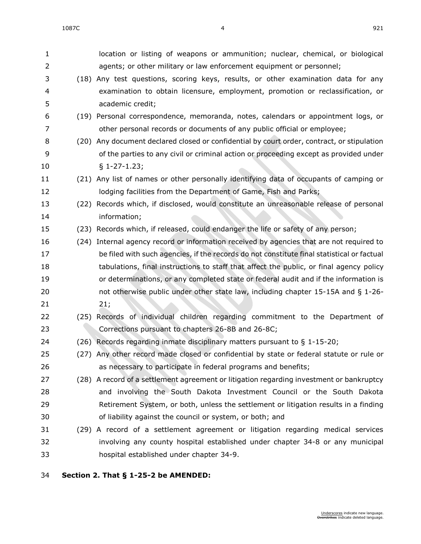| 1              |      | location or listing of weapons or ammunition; nuclear, chemical, or biological             |
|----------------|------|--------------------------------------------------------------------------------------------|
| $\overline{2}$ |      | agents; or other military or law enforcement equipment or personnel;                       |
| 3              |      | (18) Any test questions, scoring keys, results, or other examination data for any          |
| 4              |      | examination to obtain licensure, employment, promotion or reclassification, or             |
| 5              |      | academic credit;                                                                           |
| 6              |      | (19) Personal correspondence, memoranda, notes, calendars or appointment logs, or          |
| 7              |      | other personal records or documents of any public official or employee;                    |
| 8              |      | (20) Any document declared closed or confidential by court order, contract, or stipulation |
| 9              |      | of the parties to any civil or criminal action or proceeding except as provided under      |
| 10             |      | $§ 1-27-1.23;$                                                                             |
| 11             |      | (21) Any list of names or other personally identifying data of occupants of camping or     |
| 12             |      | lodging facilities from the Department of Game, Fish and Parks;                            |
| 13             | (22) | Records which, if disclosed, would constitute an unreasonable release of personal          |
| 14             |      | information;                                                                               |
| 15             |      | (23) Records which, if released, could endanger the life or safety of any person;          |
| 16             | (24) | Internal agency record or information received by agencies that are not required to        |
| 17             |      | be filed with such agencies, if the records do not constitute final statistical or factual |
| 18             |      | tabulations, final instructions to staff that affect the public, or final agency policy    |
| 19             |      | or determinations, or any completed state or federal audit and if the information is       |
| 20             |      | not otherwise public under other state law, including chapter 15-15A and § 1-26-           |
| 21             |      | 21;                                                                                        |
| 22             |      | (25) Records of individual children regarding commitment to the Department of              |
| 23             |      | Corrections pursuant to chapters 26-8B and 26-8C;                                          |
| 24             |      | (26) Records regarding inmate disciplinary matters pursuant to § 1-15-20;                  |
| 25             |      | (27) Any other record made closed or confidential by state or federal statute or rule or   |
| 26             |      | as necessary to participate in federal programs and benefits;                              |
| 27             |      | (28) A record of a settlement agreement or litigation regarding investment or bankruptcy   |
| 28             |      | and involving the South Dakota Investment Council or the South Dakota                      |
| 29             |      | Retirement System, or both, unless the settlement or litigation results in a finding       |
| 30             |      | of liability against the council or system, or both; and                                   |
| 31             |      | (29) A record of a settlement agreement or litigation regarding medical services           |
| 32             |      | involving any county hospital established under chapter 34-8 or any municipal              |
| 33             |      | hospital established under chapter 34-9.                                                   |
|                |      |                                                                                            |

## **Section 2. [That § 1-25-2 be AMENDED:](https://sdlegislature.gov/Statutes?Statute=1-25-2)**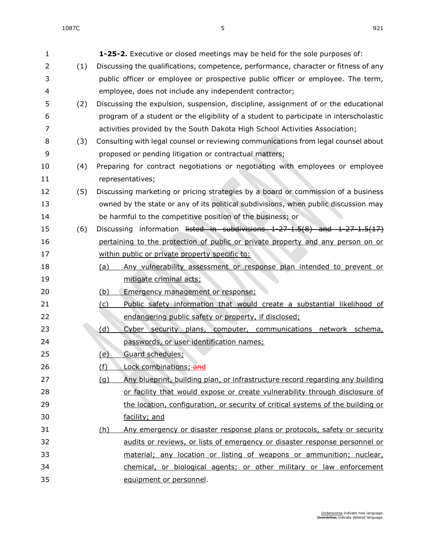| 1              |     | <b>1-25-2.</b> Executive or closed meetings may be held for the sole purposes of:       |
|----------------|-----|-----------------------------------------------------------------------------------------|
| $\overline{2}$ | (1) | Discussing the qualifications, competence, performance, character or fitness of any     |
| 3              |     | public officer or employee or prospective public officer or employee. The term,         |
| 4              |     | employee, does not include any independent contractor;                                  |
| 5              | (2) | Discussing the expulsion, suspension, discipline, assignment of or the educational      |
| 6              |     | program of a student or the eligibility of a student to participate in interscholastic  |
| 7              |     | activities provided by the South Dakota High School Activities Association;             |
| 8              | (3) | Consulting with legal counsel or reviewing communications from legal counsel about      |
| 9              |     | proposed or pending litigation or contractual matters;                                  |
| 10             | (4) | Preparing for contract negotiations or negotiating with employees or employee           |
| 11             |     | representatives;                                                                        |
| 12             | (5) | Discussing marketing or pricing strategies by a board or commission of a business       |
| 13             |     | owned by the state or any of its political subdivisions, when public discussion may     |
| 14             |     | be harmful to the competitive position of the business; or                              |
| 15             | (6) | Discussing information listed in subdivisions $1-27-1.5(8)$ and $1-27-1.5(17)$          |
| 16             |     | pertaining to the protection of public or private property and any person on or         |
| 17             |     | within public or private property specific to:                                          |
| 18             |     | Any vulnerability assessment or response plan intended to prevent or<br><u>(a)</u>      |
| 19             |     | mitigate criminal acts;                                                                 |
| 20             |     | <u>(b)</u><br>Emergency management or response;                                         |
| 21             |     | Public safety information that would create a substantial likelihood of<br><u>(c)</u>   |
| 22             |     | endangering public safety or property, if disclosed;                                    |
| 23             |     | (d)<br>Cyber security plans, computer, communications network schema,                   |
| 24             |     | passwords, or user identification names;                                                |
| 25             |     | Guard schedules;<br>(e)                                                                 |
| 26             |     | (f)<br>Lock combinations; and                                                           |
| 27             |     | (g)<br>Any blueprint, building plan, or infrastructure record regarding any building    |
| 28             |     | or facility that would expose or create vulnerability through disclosure of             |
| 29             |     | the location, configuration, or security of critical systems of the building or         |
| 30             |     | facility; and                                                                           |
| 31             |     | Any emergency or disaster response plans or protocols, safety or security<br><u>(h)</u> |
| 32             |     | audits or reviews, or lists of emergency or disaster response personnel or              |
| 33             |     | material; any location or listing of weapons or ammunition; nuclear,                    |
| 34             |     | chemical, or biological agents; or other military or law enforcement                    |
| 35             |     | equipment or personnel.                                                                 |